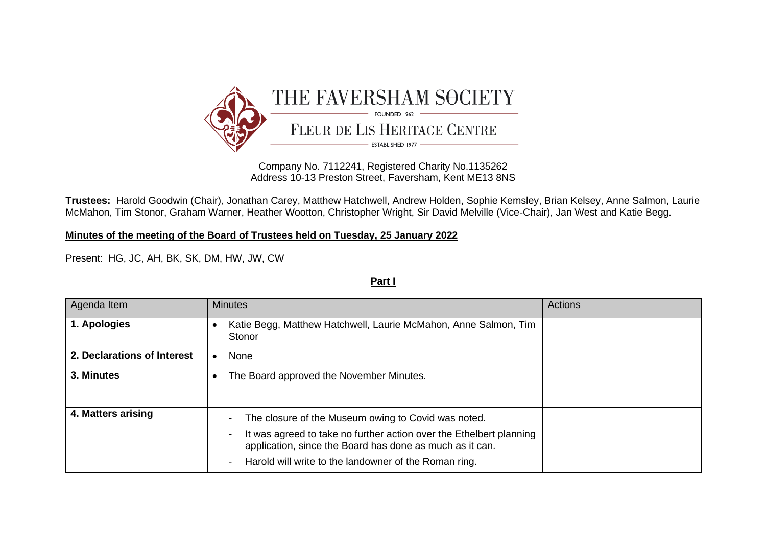

Company No. 7112241, Registered Charity No.1135262 Address 10-13 Preston Street, Faversham, Kent ME13 8NS

**Trustees:** Harold Goodwin (Chair), Jonathan Carey, Matthew Hatchwell, Andrew Holden, Sophie Kemsley, Brian Kelsey, Anne Salmon, Laurie McMahon, Tim Stonor, Graham Warner, Heather Wootton, Christopher Wright, Sir David Melville (Vice-Chair), Jan West and Katie Begg.

**Minutes of the meeting of the Board of Trustees held on Tuesday, 25 January 2022**

Present: HG, JC, AH, BK, SK, DM, HW, JW, CW

## **Part I**

| Agenda Item                 | <b>Minutes</b>                                                                                                                                                                                                                                                                                                            | <b>Actions</b> |
|-----------------------------|---------------------------------------------------------------------------------------------------------------------------------------------------------------------------------------------------------------------------------------------------------------------------------------------------------------------------|----------------|
| 1. Apologies                | Katie Begg, Matthew Hatchwell, Laurie McMahon, Anne Salmon, Tim<br>٠<br>Stonor                                                                                                                                                                                                                                            |                |
| 2. Declarations of Interest | None<br>$\bullet$                                                                                                                                                                                                                                                                                                         |                |
| 3. Minutes                  | The Board approved the November Minutes.<br>٠                                                                                                                                                                                                                                                                             |                |
| 4. Matters arising          | The closure of the Museum owing to Covid was noted.<br>$\overline{\phantom{a}}$<br>It was agreed to take no further action over the Ethelbert planning<br>$\overline{\phantom{a}}$<br>application, since the Board has done as much as it can.<br>Harold will write to the landowner of the Roman ring.<br>$\blacksquare$ |                |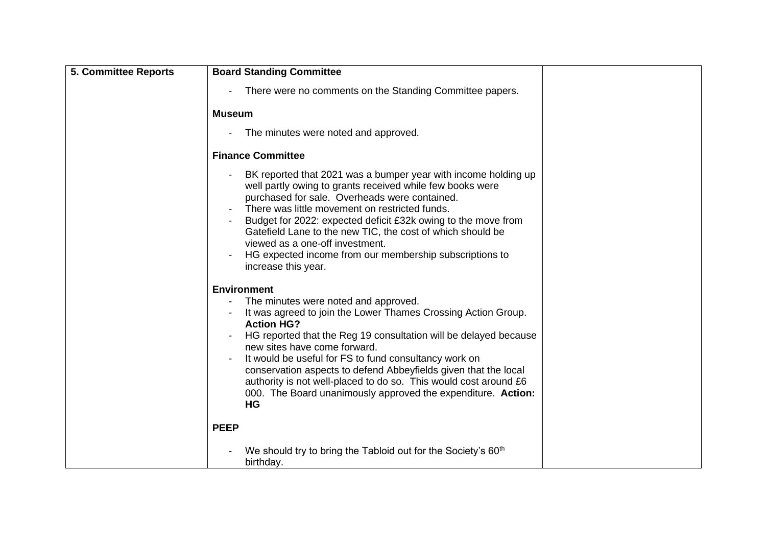| <b>5. Committee Reports</b> | <b>Board Standing Committee</b>                                                                                                                                                                                                                                                                                                                                                                                                                                                                                            |
|-----------------------------|----------------------------------------------------------------------------------------------------------------------------------------------------------------------------------------------------------------------------------------------------------------------------------------------------------------------------------------------------------------------------------------------------------------------------------------------------------------------------------------------------------------------------|
|                             | There were no comments on the Standing Committee papers.                                                                                                                                                                                                                                                                                                                                                                                                                                                                   |
|                             | <b>Museum</b>                                                                                                                                                                                                                                                                                                                                                                                                                                                                                                              |
|                             | The minutes were noted and approved.                                                                                                                                                                                                                                                                                                                                                                                                                                                                                       |
|                             | <b>Finance Committee</b>                                                                                                                                                                                                                                                                                                                                                                                                                                                                                                   |
|                             | BK reported that 2021 was a bumper year with income holding up<br>well partly owing to grants received while few books were<br>purchased for sale. Overheads were contained.<br>There was little movement on restricted funds.<br>Budget for 2022: expected deficit £32k owing to the move from<br>Gatefield Lane to the new TIC, the cost of which should be<br>viewed as a one-off investment.<br>HG expected income from our membership subscriptions to<br>increase this year.                                         |
|                             | <b>Environment</b><br>The minutes were noted and approved.<br>It was agreed to join the Lower Thames Crossing Action Group.<br><b>Action HG?</b><br>HG reported that the Reg 19 consultation will be delayed because<br>new sites have come forward.<br>It would be useful for FS to fund consultancy work on<br>conservation aspects to defend Abbeyfields given that the local<br>authority is not well-placed to do so. This would cost around £6<br>000. The Board unanimously approved the expenditure. Action:<br>HG |
|                             | <b>PEEP</b>                                                                                                                                                                                                                                                                                                                                                                                                                                                                                                                |
|                             | We should try to bring the Tabloid out for the Society's 60 <sup>th</sup><br>birthday.                                                                                                                                                                                                                                                                                                                                                                                                                                     |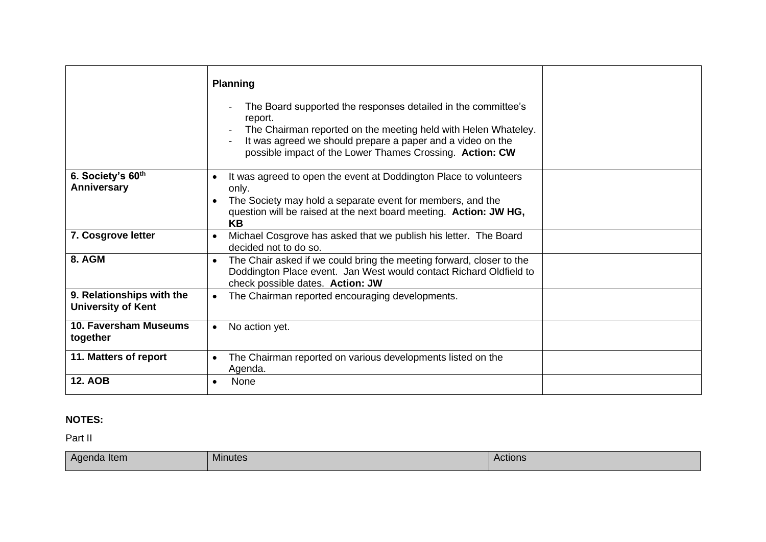|                                                        | <b>Planning</b><br>The Board supported the responses detailed in the committee's<br>$\blacksquare$<br>report.<br>The Chairman reported on the meeting held with Helen Whateley.<br>It was agreed we should prepare a paper and a video on the<br>possible impact of the Lower Thames Crossing. Action: CW |  |
|--------------------------------------------------------|-----------------------------------------------------------------------------------------------------------------------------------------------------------------------------------------------------------------------------------------------------------------------------------------------------------|--|
| 6. Society's 60th<br>Anniversary                       | It was agreed to open the event at Doddington Place to volunteers<br>$\bullet$<br>only.<br>The Society may hold a separate event for members, and the<br>question will be raised at the next board meeting. Action: JW HG,<br><b>KB</b>                                                                   |  |
| 7. Cosgrove letter                                     | Michael Cosgrove has asked that we publish his letter. The Board<br>$\bullet$<br>decided not to do so.                                                                                                                                                                                                    |  |
| 8. AGM                                                 | The Chair asked if we could bring the meeting forward, closer to the<br>$\bullet$<br>Doddington Place event. Jan West would contact Richard Oldfield to<br>check possible dates. Action: JW                                                                                                               |  |
| 9. Relationships with the<br><b>University of Kent</b> | The Chairman reported encouraging developments.                                                                                                                                                                                                                                                           |  |
| 10. Faversham Museums<br>together                      | No action yet.<br>$\bullet$                                                                                                                                                                                                                                                                               |  |
| 11. Matters of report                                  | The Chairman reported on various developments listed on the<br>$\bullet$<br>Agenda.                                                                                                                                                                                                                       |  |
| <b>12. AOB</b>                                         | None<br>$\bullet$                                                                                                                                                                                                                                                                                         |  |

## **NOTES:**

Part II

| Agenda Item | $\mathbf{r}$<br><b>Minutes</b> | Actions |
|-------------|--------------------------------|---------|
|             |                                |         |